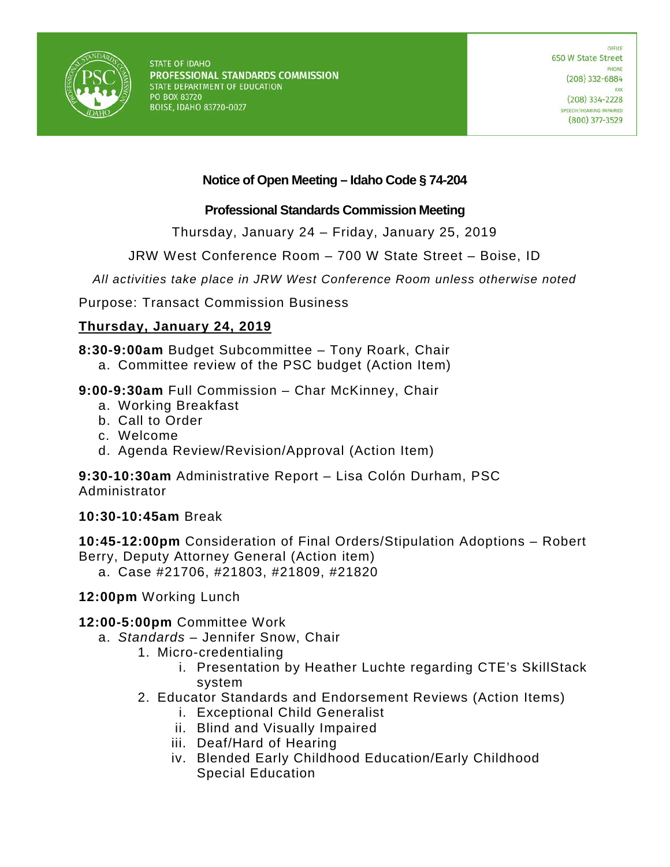

# **Notice of Open Meeting – Idaho Code § 74-204**

### **Professional Standards Commission Meeting**

Thursday, January 24 – Friday, January 25, 2019

JRW West Conference Room – 700 W State Street – Boise, ID

*All activities take place in JRW West Conference Room unless otherwise noted*

Purpose: Transact Commission Business

# **Thursday, January 24, 2019**

**8:30-9:00am** Budget Subcommittee – Tony Roark, Chair

- a. Committee review of the PSC budget (Action Item)
- **9:00-9:30am** Full Commission Char McKinney, Chair
	- a. Working Breakfast
	- b. Call to Order
	- c. Welcome
	- d. Agenda Review/Revision/Approval (Action Item)

**9:30-10:30am** Administrative Report – Lisa Colón Durham, PSC Administrator

# **10:30-10:45am** Break

**10:45-12:00pm** Consideration of Final Orders/Stipulation Adoptions – Robert Berry, Deputy Attorney General (Action item)

a. Case #21706, #21803, #21809, #21820

**12:00pm** Working Lunch

# **12:00-5:00pm** Committee Work

- a. *Standards*  Jennifer Snow, Chair
	- 1. Micro-credentialing
		- i. Presentation by Heather Luchte regarding CTE's SkillStack system
	- 2. Educator Standards and Endorsement Reviews (Action Items)
		- i. Exceptional Child Generalist
		- ii. Blind and Visually Impaired
		- iii. Deaf/Hard of Hearing
		- iv. Blended Early Childhood Education/Early Childhood Special Education